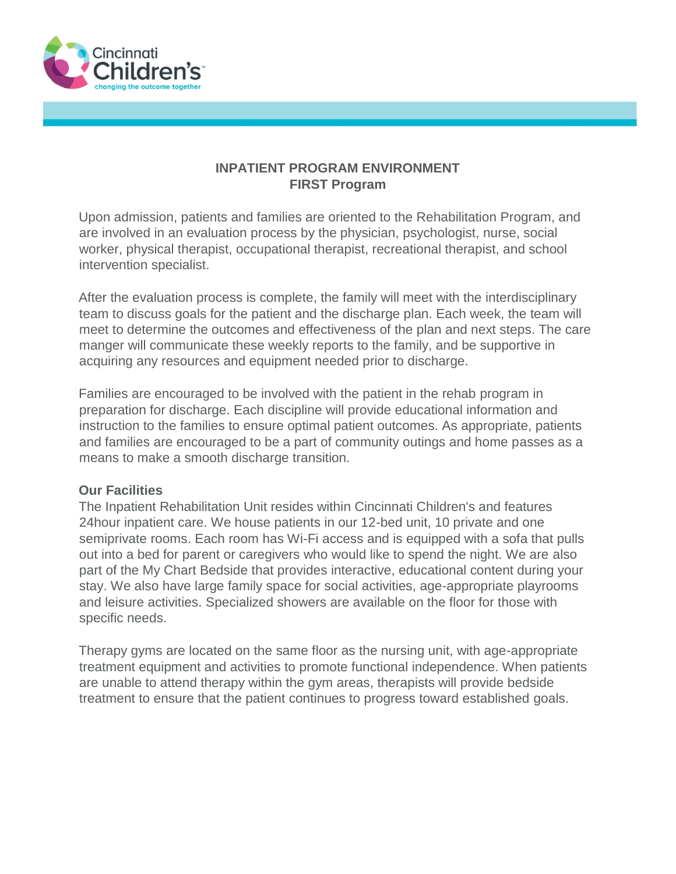

#### **INPATIENT PROGRAM ENVIRONMENT FIRST Program**

Upon admission, patients and families are oriented to the Rehabilitation Program, and are involved in an evaluation process by the physician, psychologist, nurse, social worker, physical therapist, occupational therapist, recreational therapist, and school intervention specialist.

After the evaluation process is complete, the family will meet with the interdisciplinary team to discuss goals for the patient and the discharge plan. Each week, the team will meet to determine the outcomes and effectiveness of the plan and next steps. The care manger will communicate these weekly reports to the family, and be supportive in acquiring any resources and equipment needed prior to discharge.

Families are encouraged to be involved with the patient in the rehab program in preparation for discharge. Each discipline will provide educational information and instruction to the families to ensure optimal patient outcomes. As appropriate, patients and families are encouraged to be a part of community outings and home passes as a means to make a smooth discharge transition.

#### **Our Facilities**

The Inpatient Rehabilitation Unit resides within Cincinnati Children's and features 24hour inpatient care. We house patients in our 12-bed unit, 10 private and one semiprivate rooms. Each room has Wi-Fi access and is equipped with a sofa that pulls out into a bed for parent or caregivers who would like to spend the night. We are also part of the My Chart Bedside that provides interactive, educational content during your stay. We also have large family space for social activities, age-appropriate playrooms and leisure activities. Specialized showers are available on the floor for those with specific needs.

Therapy gyms are located on the same floor as the nursing unit, with age-appropriate treatment equipment and activities to promote functional independence. When patients are unable to attend therapy within the gym areas, therapists will provide bedside treatment to ensure that the patient continues to progress toward established goals.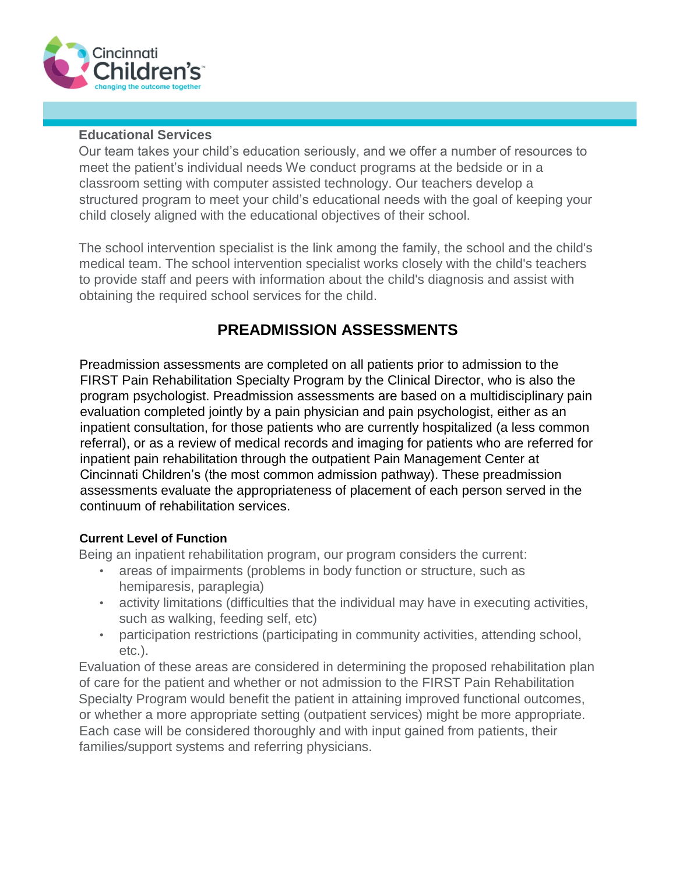

#### **Educational Services**

Our team takes your child's education seriously, and we offer a number of resources to meet the patient's individual needs We conduct programs at the bedside or in a classroom setting with computer assisted technology. Our teachers develop a structured program to meet your child's educational needs with the goal of keeping your child closely aligned with the educational objectives of their school.

The school intervention specialist is the link among the family, the school and the child's medical team. The school intervention specialist works closely with the child's teachers to provide staff and peers with information about the child's diagnosis and assist with obtaining the required school services for the child.

### **PREADMISSION ASSESSMENTS**

Preadmission assessments are completed on all patients prior to admission to the FIRST Pain Rehabilitation Specialty Program by the Clinical Director, who is also the program psychologist. Preadmission assessments are based on a multidisciplinary pain evaluation completed jointly by a pain physician and pain psychologist, either as an inpatient consultation, for those patients who are currently hospitalized (a less common referral), or as a review of medical records and imaging for patients who are referred for inpatient pain rehabilitation through the outpatient Pain Management Center at Cincinnati Children's (the most common admission pathway). These preadmission assessments evaluate the appropriateness of placement of each person served in the continuum of rehabilitation services.

#### **Current Level of Function**

Being an inpatient rehabilitation program, our program considers the current:

- areas of impairments (problems in body function or structure, such as hemiparesis, paraplegia)
- activity limitations (difficulties that the individual may have in executing activities, such as walking, feeding self, etc)
- participation restrictions (participating in community activities, attending school, etc.).

Evaluation of these areas are considered in determining the proposed rehabilitation plan of care for the patient and whether or not admission to the FIRST Pain Rehabilitation Specialty Program would benefit the patient in attaining improved functional outcomes, or whether a more appropriate setting (outpatient services) might be more appropriate. Each case will be considered thoroughly and with input gained from patients, their families/support systems and referring physicians.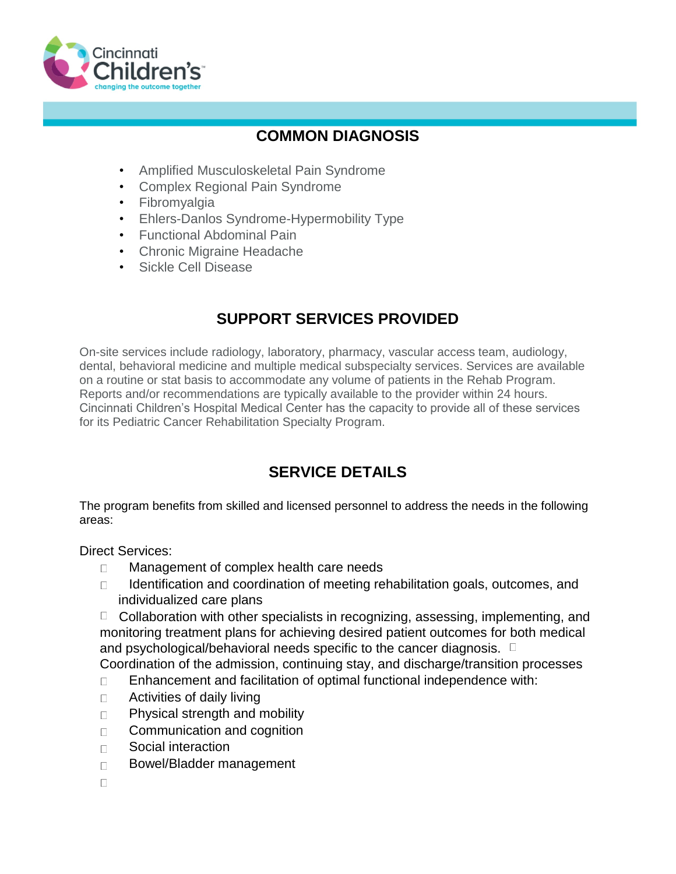

### **COMMON DIAGNOSIS**

- Amplified Musculoskeletal Pain Syndrome
- Complex Regional Pain Syndrome
- Fibromyalgia
- Ehlers-Danlos Syndrome-Hypermobility Type
- Functional Abdominal Pain
- Chronic Migraine Headache
- Sickle Cell Disease

## **SUPPORT SERVICES PROVIDED**

On-site services include radiology, laboratory, pharmacy, vascular access team, audiology, dental, behavioral medicine and multiple medical subspecialty services. Services are available on a routine or stat basis to accommodate any volume of patients in the Rehab Program. Reports and/or recommendations are typically available to the provider within 24 hours. Cincinnati Children's Hospital Medical Center has the capacity to provide all of these services for its Pediatric Cancer Rehabilitation Specialty Program.

# **SERVICE DETAILS**

The program benefits from skilled and licensed personnel to address the needs in the following areas:

Direct Services:

- Management of complex health care needs  $\Box$
- Identification and coordination of meeting rehabilitation goals, outcomes, and  $\Box$ individualized care plans

 $\Box$  Collaboration with other specialists in recognizing, assessing, implementing, and monitoring treatment plans for achieving desired patient outcomes for both medical and psychological/behavioral needs specific to the cancer diagnosis.  $\Box$ 

Coordination of the admission, continuing stay, and discharge/transition processes

- Enhancement and facilitation of optimal functional independence with:  $\Box$
- $\Box$ Activities of daily living
- Physical strength and mobility  $\Box$
- Communication and cognition  $\Box$
- Social interaction  $\Box$
- Bowel/Bladder management  $\Box$
- $\Box$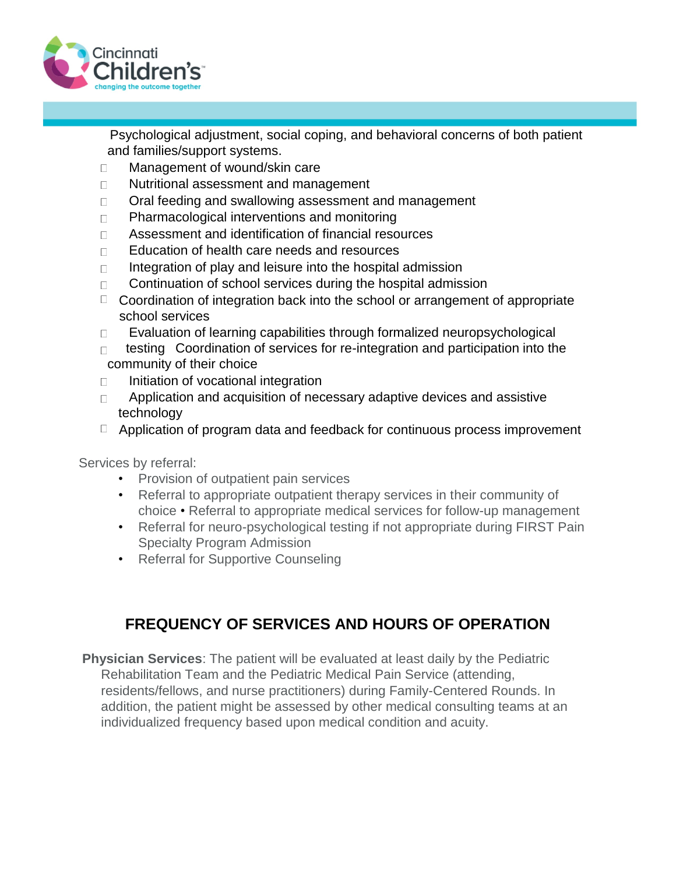

Psychological adjustment, social coping, and behavioral concerns of both patient and families/support systems.

- Management of wound/skin care  $\Box$
- Nutritional assessment and management  $\Box$
- Oral feeding and swallowing assessment and management  $\Box$
- Pharmacological interventions and monitoring  $\Box$
- Assessment and identification of financial resources  $\Box$
- Education of health care needs and resources  $\Box$
- Integration of play and leisure into the hospital admission  $\Box$
- Continuation of school services during the hospital admission  $\Box$
- $\Box$  Coordination of integration back into the school or arrangement of appropriate school services
- Evaluation of learning capabilities through formalized neuropsychological  $\Box$
- testing Coordination of services for re-integration and participation into the  $\Box$ community of their choice
- $\Box$ Initiation of vocational integration
- Application and acquisition of necessary adaptive devices and assistive  $\Box$ technology
- $\Box$  Application of program data and feedback for continuous process improvement

Services by referral:

- Provision of outpatient pain services
- Referral to appropriate outpatient therapy services in their community of choice • Referral to appropriate medical services for follow-up management
- Referral for neuro-psychological testing if not appropriate during FIRST Pain Specialty Program Admission
- Referral for Supportive Counseling

# **FREQUENCY OF SERVICES AND HOURS OF OPERATION**

**Physician Services**: The patient will be evaluated at least daily by the Pediatric Rehabilitation Team and the Pediatric Medical Pain Service (attending, residents/fellows, and nurse practitioners) during Family-Centered Rounds. In addition, the patient might be assessed by other medical consulting teams at an individualized frequency based upon medical condition and acuity.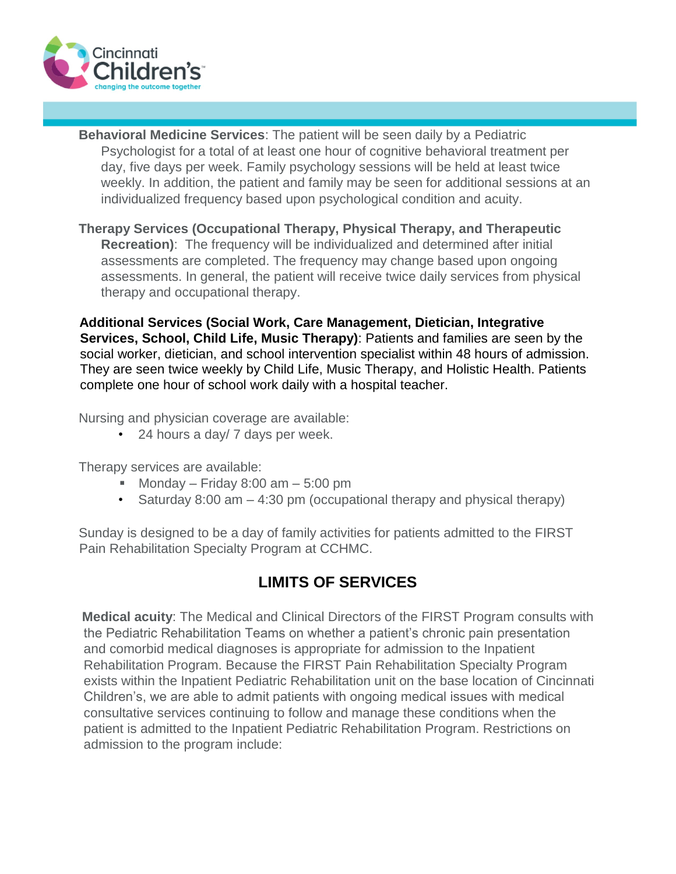

**Behavioral Medicine Services**: The patient will be seen daily by a Pediatric Psychologist for a total of at least one hour of cognitive behavioral treatment per day, five days per week. Family psychology sessions will be held at least twice weekly. In addition, the patient and family may be seen for additional sessions at an individualized frequency based upon psychological condition and acuity.

**Therapy Services (Occupational Therapy, Physical Therapy, and Therapeutic Recreation)**: The frequency will be individualized and determined after initial assessments are completed. The frequency may change based upon ongoing assessments. In general, the patient will receive twice daily services from physical therapy and occupational therapy.

**Additional Services (Social Work, Care Management, Dietician, Integrative Services, School, Child Life, Music Therapy)**: Patients and families are seen by the social worker, dietician, and school intervention specialist within 48 hours of admission. They are seen twice weekly by Child Life, Music Therapy, and Holistic Health. Patients complete one hour of school work daily with a hospital teacher.

Nursing and physician coverage are available:

• 24 hours a day/ 7 days per week.

Therapy services are available:

- Monday Friday 8:00 am 5:00 pm
- Saturday 8:00 am  $-$  4:30 pm (occupational therapy and physical therapy)

Sunday is designed to be a day of family activities for patients admitted to the FIRST Pain Rehabilitation Specialty Program at CCHMC.

### **LIMITS OF SERVICES**

**Medical acuity**: The Medical and Clinical Directors of the FIRST Program consults with the Pediatric Rehabilitation Teams on whether a patient's chronic pain presentation and comorbid medical diagnoses is appropriate for admission to the Inpatient Rehabilitation Program. Because the FIRST Pain Rehabilitation Specialty Program exists within the Inpatient Pediatric Rehabilitation unit on the base location of Cincinnati Children's, we are able to admit patients with ongoing medical issues with medical consultative services continuing to follow and manage these conditions when the patient is admitted to the Inpatient Pediatric Rehabilitation Program. Restrictions on admission to the program include: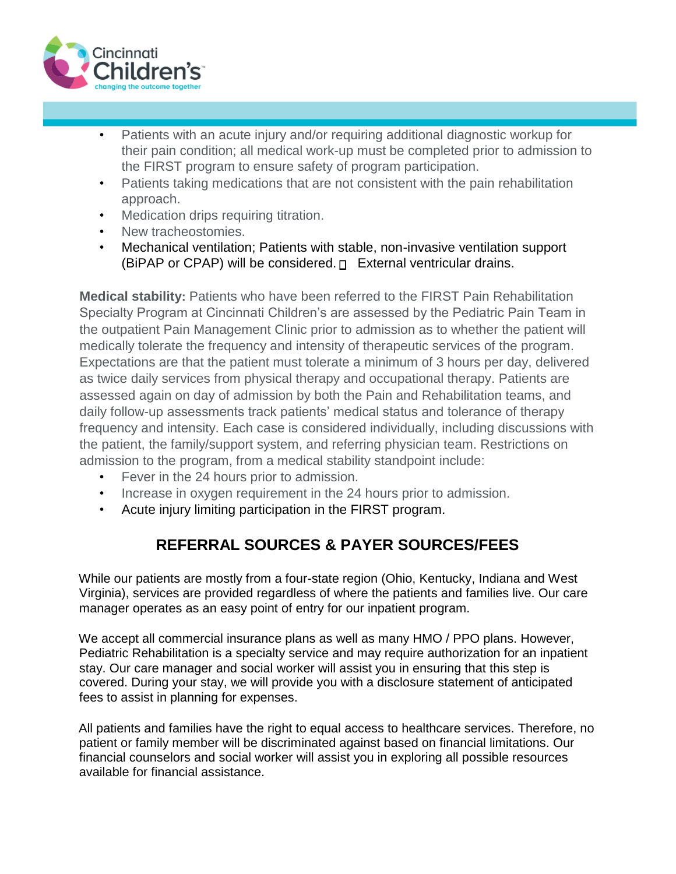

- Patients with an acute injury and/or requiring additional diagnostic workup for their pain condition; all medical work-up must be completed prior to admission to the FIRST program to ensure safety of program participation.
- Patients taking medications that are not consistent with the pain rehabilitation approach.
- Medication drips requiring titration.
- New tracheostomies.
- Mechanical ventilation; Patients with stable, non-invasive ventilation support (BiPAP or CPAP) will be considered.  $\Box$  External ventricular drains.

**Medical stability:** Patients who have been referred to the FIRST Pain Rehabilitation Specialty Program at Cincinnati Children's are assessed by the Pediatric Pain Team in the outpatient Pain Management Clinic prior to admission as to whether the patient will medically tolerate the frequency and intensity of therapeutic services of the program. Expectations are that the patient must tolerate a minimum of 3 hours per day, delivered as twice daily services from physical therapy and occupational therapy. Patients are assessed again on day of admission by both the Pain and Rehabilitation teams, and daily follow-up assessments track patients' medical status and tolerance of therapy frequency and intensity. Each case is considered individually, including discussions with the patient, the family/support system, and referring physician team. Restrictions on admission to the program, from a medical stability standpoint include:

- Fever in the 24 hours prior to admission.
- Increase in oxygen requirement in the 24 hours prior to admission.
- Acute injury limiting participation in the FIRST program.

# **REFERRAL SOURCES & PAYER SOURCES/FEES**

While our patients are mostly from a four-state region (Ohio, Kentucky, Indiana and West Virginia), services are provided regardless of where the patients and families live. Our care manager operates as an easy point of entry for our inpatient program.

We accept all commercial insurance plans as well as many HMO / PPO plans. However, Pediatric Rehabilitation is a specialty service and may require authorization for an inpatient stay. Our care manager and social worker will assist you in ensuring that this step is covered. During your stay, we will provide you with a disclosure statement of anticipated fees to assist in planning for expenses.

All patients and families have the right to equal access to healthcare services. Therefore, no patient or family member will be discriminated against based on financial limitations. Our financial counselors and social worker will assist you in exploring all possible resources available for financial assistance.